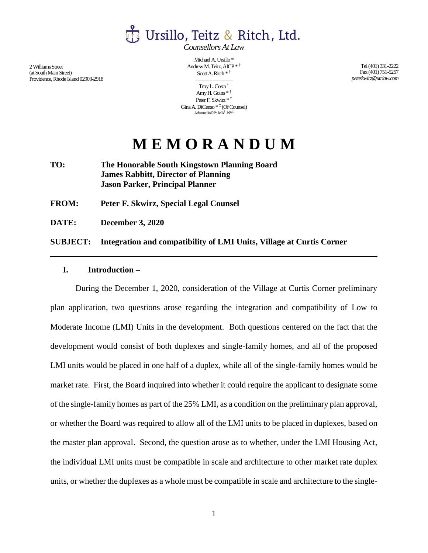

*Counsellors At Law*

2Williams Street (at South Main Street) Providence, Rhode Island 02903-2918

Michael A. Ursillo \* Andrew M. Teitz, AICP \* † Scott A. Ritch \* †

——————— Troy L. Costa † Amy H. Goins \* † Peter F. Skwirz \* † Gina A. DiCenso \* ‡ (Of Counsel) Admitted in RI\*,  $\text{MA}^\dagger, \text{NY}^\ddagger$ 

Tel (401) 331-2222 Fax (401) 751-5257 *peteskwirz@utrlaw.com*

# **M E M O R A N D U M**

**TO: The Honorable South Kingstown Planning Board James Rabbitt, Director of Planning Jason Parker, Principal Planner**

**FROM: Peter F. Skwirz, Special Legal Counsel**

**DATE: December 3, 2020**

#### **SUBJECT: Integration and compatibility of LMI Units, Village at Curtis Corner**

### **I. Introduction –**

During the December 1, 2020, consideration of the Village at Curtis Corner preliminary plan application, two questions arose regarding the integration and compatibility of Low to Moderate Income (LMI) Units in the development. Both questions centered on the fact that the development would consist of both duplexes and single-family homes, and all of the proposed LMI units would be placed in one half of a duplex, while all of the single-family homes would be market rate. First, the Board inquired into whether it could require the applicant to designate some of the single-family homes as part of the 25% LMI, as a condition on the preliminary plan approval, or whether the Board was required to allow all of the LMI units to be placed in duplexes, based on the master plan approval. Second, the question arose as to whether, under the LMI Housing Act, the individual LMI units must be compatible in scale and architecture to other market rate duplex units, or whether the duplexes as a whole must be compatible in scale and architecture to the single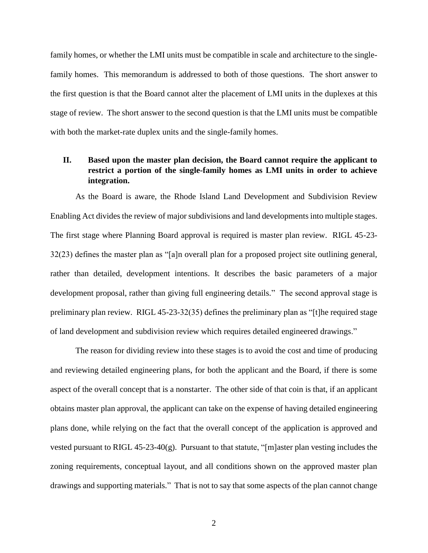family homes, or whether the LMI units must be compatible in scale and architecture to the singlefamily homes. This memorandum is addressed to both of those questions. The short answer to the first question is that the Board cannot alter the placement of LMI units in the duplexes at this stage of review. The short answer to the second question is that the LMI units must be compatible with both the market-rate duplex units and the single-family homes.

## **II. Based upon the master plan decision, the Board cannot require the applicant to restrict a portion of the single-family homes as LMI units in order to achieve integration.**

As the Board is aware, the Rhode Island Land Development and Subdivision Review Enabling Act divides the review of major subdivisions and land developments into multiple stages. The first stage where Planning Board approval is required is master plan review. RIGL 45-23- 32(23) defines the master plan as "[a]n overall plan for a proposed project site outlining general, rather than detailed, development intentions. It describes the basic parameters of a major development proposal, rather than giving full engineering details." The second approval stage is preliminary plan review. RIGL 45-23-32(35) defines the preliminary plan as "[t]he required stage of land development and subdivision review which requires detailed engineered drawings."

The reason for dividing review into these stages is to avoid the cost and time of producing and reviewing detailed engineering plans, for both the applicant and the Board, if there is some aspect of the overall concept that is a nonstarter. The other side of that coin is that, if an applicant obtains master plan approval, the applicant can take on the expense of having detailed engineering plans done, while relying on the fact that the overall concept of the application is approved and vested pursuant to RIGL 45-23-40(g). Pursuant to that statute, "[m]aster plan vesting includes the zoning requirements, conceptual layout, and all conditions shown on the approved master plan drawings and supporting materials." That is not to say that some aspects of the plan cannot change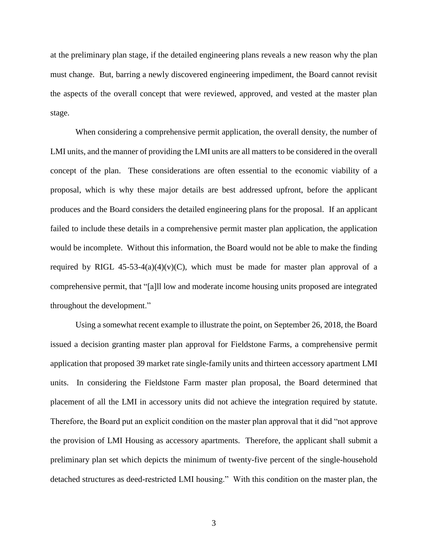at the preliminary plan stage, if the detailed engineering plans reveals a new reason why the plan must change. But, barring a newly discovered engineering impediment, the Board cannot revisit the aspects of the overall concept that were reviewed, approved, and vested at the master plan stage.

When considering a comprehensive permit application, the overall density, the number of LMI units, and the manner of providing the LMI units are all matters to be considered in the overall concept of the plan. These considerations are often essential to the economic viability of a proposal, which is why these major details are best addressed upfront, before the applicant produces and the Board considers the detailed engineering plans for the proposal. If an applicant failed to include these details in a comprehensive permit master plan application, the application would be incomplete. Without this information, the Board would not be able to make the finding required by RIGL 45-53-4(a)(4)(v)(C), which must be made for master plan approval of a comprehensive permit, that "[a]ll low and moderate income housing units proposed are integrated throughout the development."

Using a somewhat recent example to illustrate the point, on September 26, 2018, the Board issued a decision granting master plan approval for Fieldstone Farms, a comprehensive permit application that proposed 39 market rate single-family units and thirteen accessory apartment LMI units. In considering the Fieldstone Farm master plan proposal, the Board determined that placement of all the LMI in accessory units did not achieve the integration required by statute. Therefore, the Board put an explicit condition on the master plan approval that it did "not approve the provision of LMI Housing as accessory apartments. Therefore, the applicant shall submit a preliminary plan set which depicts the minimum of twenty-five percent of the single-household detached structures as deed-restricted LMI housing." With this condition on the master plan, the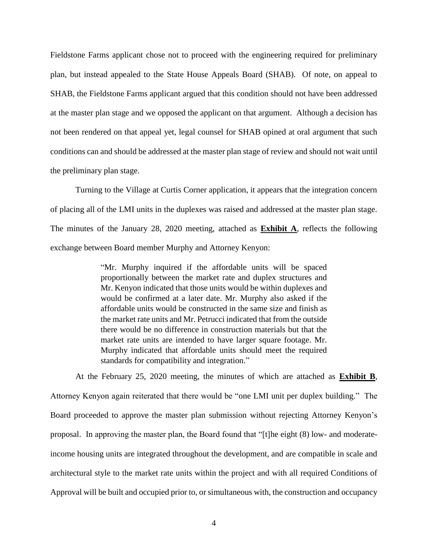Fieldstone Farms applicant chose not to proceed with the engineering required for preliminary plan, but instead appealed to the State House Appeals Board (SHAB). Of note, on appeal to SHAB, the Fieldstone Farms applicant argued that this condition should not have been addressed at the master plan stage and we opposed the applicant on that argument. Although a decision has not been rendered on that appeal yet, legal counsel for SHAB opined at oral argument that such conditions can and should be addressed at the master plan stage of review and should not wait until the preliminary plan stage.

Turning to the Village at Curtis Corner application, it appears that the integration concern of placing all of the LMI units in the duplexes was raised and addressed at the master plan stage. The minutes of the January 28, 2020 meeting, attached as **Exhibit A**, reflects the following exchange between Board member Murphy and Attorney Kenyon:

> "Mr. Murphy inquired if the affordable units will be spaced proportionally between the market rate and duplex structures and Mr. Kenyon indicated that those units would be within duplexes and would be confirmed at a later date. Mr. Murphy also asked if the affordable units would be constructed in the same size and finish as the market rate units and Mr. Petrucci indicated that from the outside there would be no difference in construction materials but that the market rate units are intended to have larger square footage. Mr. Murphy indicated that affordable units should meet the required standards for compatibility and integration."

At the February 25, 2020 meeting, the minutes of which are attached as **Exhibit B**, Attorney Kenyon again reiterated that there would be "one LMI unit per duplex building." The Board proceeded to approve the master plan submission without rejecting Attorney Kenyon's proposal. In approving the master plan, the Board found that "[t]he eight (8) low- and moderateincome housing units are integrated throughout the development, and are compatible in scale and architectural style to the market rate units within the project and with all required Conditions of Approval will be built and occupied prior to, or simultaneous with, the construction and occupancy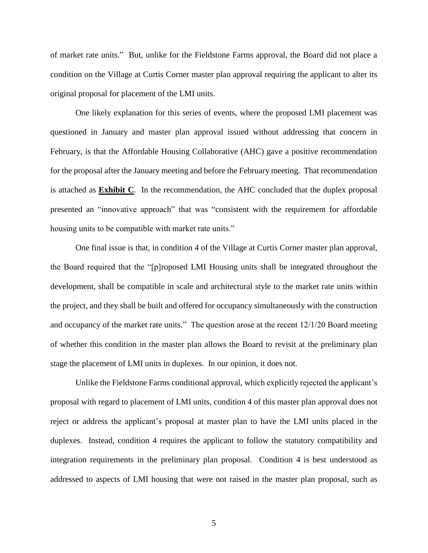of market rate units." But, unlike for the Fieldstone Farms approval, the Board did not place a condition on the Village at Curtis Corner master plan approval requiring the applicant to alter its original proposal for placement of the LMI units.

One likely explanation for this series of events, where the proposed LMI placement was questioned in January and master plan approval issued without addressing that concern in February, is that the Affordable Housing Collaborative (AHC) gave a positive recommendation for the proposal after the January meeting and before the February meeting. That recommendation is attached as **Exhibit C**. In the recommendation, the AHC concluded that the duplex proposal presented an "innovative approach" that was "consistent with the requirement for affordable housing units to be compatible with market rate units."

One final issue is that, in condition 4 of the Village at Curtis Corner master plan approval, the Board required that the "[p]roposed LMI Housing units shall be integrated throughout the development, shall be compatible in scale and architectural style to the market rate units within the project, and they shall be built and offered for occupancy simultaneously with the construction and occupancy of the market rate units." The question arose at the recent 12/1/20 Board meeting of whether this condition in the master plan allows the Board to revisit at the preliminary plan stage the placement of LMI units in duplexes. In our opinion, it does not.

Unlike the Fieldstone Farms conditional approval, which explicitly rejected the applicant's proposal with regard to placement of LMI units, condition 4 of this master plan approval does not reject or address the applicant's proposal at master plan to have the LMI units placed in the duplexes. Instead, condition 4 requires the applicant to follow the statutory compatibility and integration requirements in the preliminary plan proposal. Condition 4 is best understood as addressed to aspects of LMI housing that were not raised in the master plan proposal, such as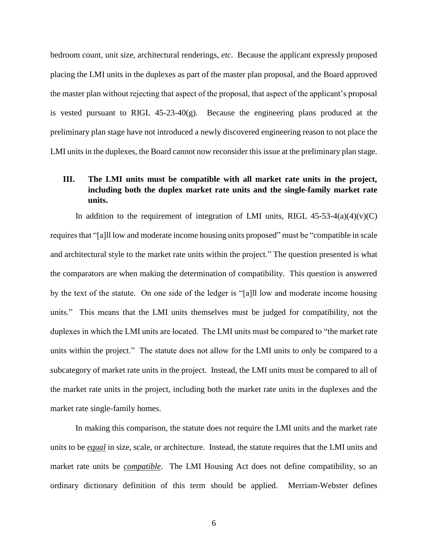bedroom count, unit size, architectural renderings, *etc*. Because the applicant expressly proposed placing the LMI units in the duplexes as part of the master plan proposal, and the Board approved the master plan without rejecting that aspect of the proposal, that aspect of the applicant's proposal is vested pursuant to RIGL 45-23-40(g). Because the engineering plans produced at the preliminary plan stage have not introduced a newly discovered engineering reason to not place the LMI units in the duplexes, the Board cannot now reconsider this issue at the preliminary plan stage.

## **III. The LMI units must be compatible with all market rate units in the project, including both the duplex market rate units and the single-family market rate units.**

In addition to the requirement of integration of LMI units, RIGL  $45-53-4(a)(4)(v)(C)$ requires that "[a]ll low and moderate income housing units proposed" must be "compatible in scale and architectural style to the market rate units within the project." The question presented is what the comparators are when making the determination of compatibility. This question is answered by the text of the statute. On one side of the ledger is "[a]ll low and moderate income housing units." This means that the LMI units themselves must be judged for compatibility, not the duplexes in which the LMI units are located. The LMI units must be compared to "the market rate units within the project." The statute does not allow for the LMI units to only be compared to a subcategory of market rate units in the project. Instead, the LMI units must be compared to all of the market rate units in the project, including both the market rate units in the duplexes and the market rate single-family homes.

In making this comparison, the statute does not require the LMI units and the market rate units to be *equal* in size, scale, or architecture. Instead, the statute requires that the LMI units and market rate units be *compatible*. The LMI Housing Act does not define compatibility, so an ordinary dictionary definition of this term should be applied. Merriam-Webster defines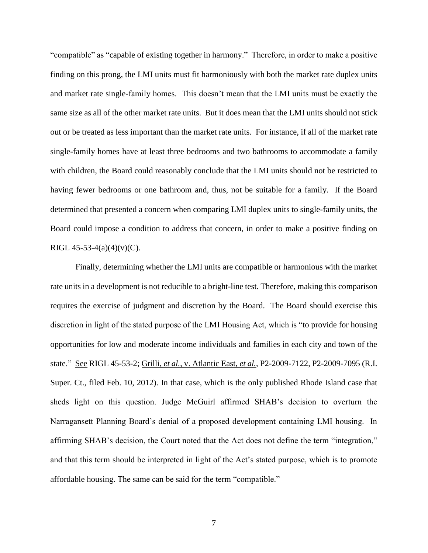"compatible" as "capable of existing together in harmony." Therefore, in order to make a positive finding on this prong, the LMI units must fit harmoniously with both the market rate duplex units and market rate single-family homes. This doesn't mean that the LMI units must be exactly the same size as all of the other market rate units. But it does mean that the LMI units should not stick out or be treated as less important than the market rate units. For instance, if all of the market rate single-family homes have at least three bedrooms and two bathrooms to accommodate a family with children, the Board could reasonably conclude that the LMI units should not be restricted to having fewer bedrooms or one bathroom and, thus, not be suitable for a family. If the Board determined that presented a concern when comparing LMI duplex units to single-family units, the Board could impose a condition to address that concern, in order to make a positive finding on RIGL 45-53-4(a)(4)(v)(C).

Finally, determining whether the LMI units are compatible or harmonious with the market rate units in a development is not reducible to a bright-line test. Therefore, making this comparison requires the exercise of judgment and discretion by the Board. The Board should exercise this discretion in light of the stated purpose of the LMI Housing Act, which is "to provide for housing opportunities for low and moderate income individuals and families in each city and town of the state." See RIGL 45-53-2; Grilli, *et al.*, v. Atlantic East, *et al.*, P2-2009-7122, P2-2009-7095 (R.I. Super. Ct., filed Feb. 10, 2012). In that case, which is the only published Rhode Island case that sheds light on this question. Judge McGuirl affirmed SHAB's decision to overturn the Narragansett Planning Board's denial of a proposed development containing LMI housing. In affirming SHAB's decision, the Court noted that the Act does not define the term "integration," and that this term should be interpreted in light of the Act's stated purpose, which is to promote affordable housing. The same can be said for the term "compatible."